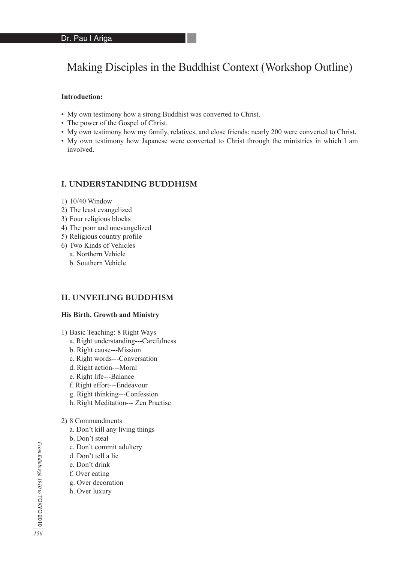# Making Disciples in the Buddhist Context (Workshop Outline)

#### **Introduction:**

- My own testimony how a strong Buddhist was converted to Christ.
- The power of the Gospel of Christ.
- My own testimony how my family, relatives, and close friends: nearly 200 were converted to Christ.
- My own testimony how Japanese were converted to Christ through the ministries in which I am involved.

## **I. UNDERSTANDING BUDDHISM**

- 1) 10/40 Window
- 2) The least evangelized
- 3) Four religious blocks
- 4) The poor and unevangelized
- 5) Religious country profile
- 6) Two Kinds of Vehicles
- a. Northern Vehicle
	- b. Southern Vehicle

## **II. UNVEILING BUDDHISM**

#### **His Birth, Growth and Ministry**

- 1) Basic Teaching: 8 Right Ways
	- a. Right understanding---Carefulness
	- b. Right cause---Mission
	- c. Right words---Conversation
	- d. Right action---Moral
	- e. Right life---Balance
	- f. Right effort---Endeavour
	- g. Right thinking---Confession
	- h. Right Meditation--- Zen Practise

## 2) 8 Commandments

- a. Don't kill any living things
- b. Don't steal
- c. Don't commit adultery
- d. Don't tell a lie
- e. Don't drink
- f. Over eating
- g. Over decoration
- h. Over luxury